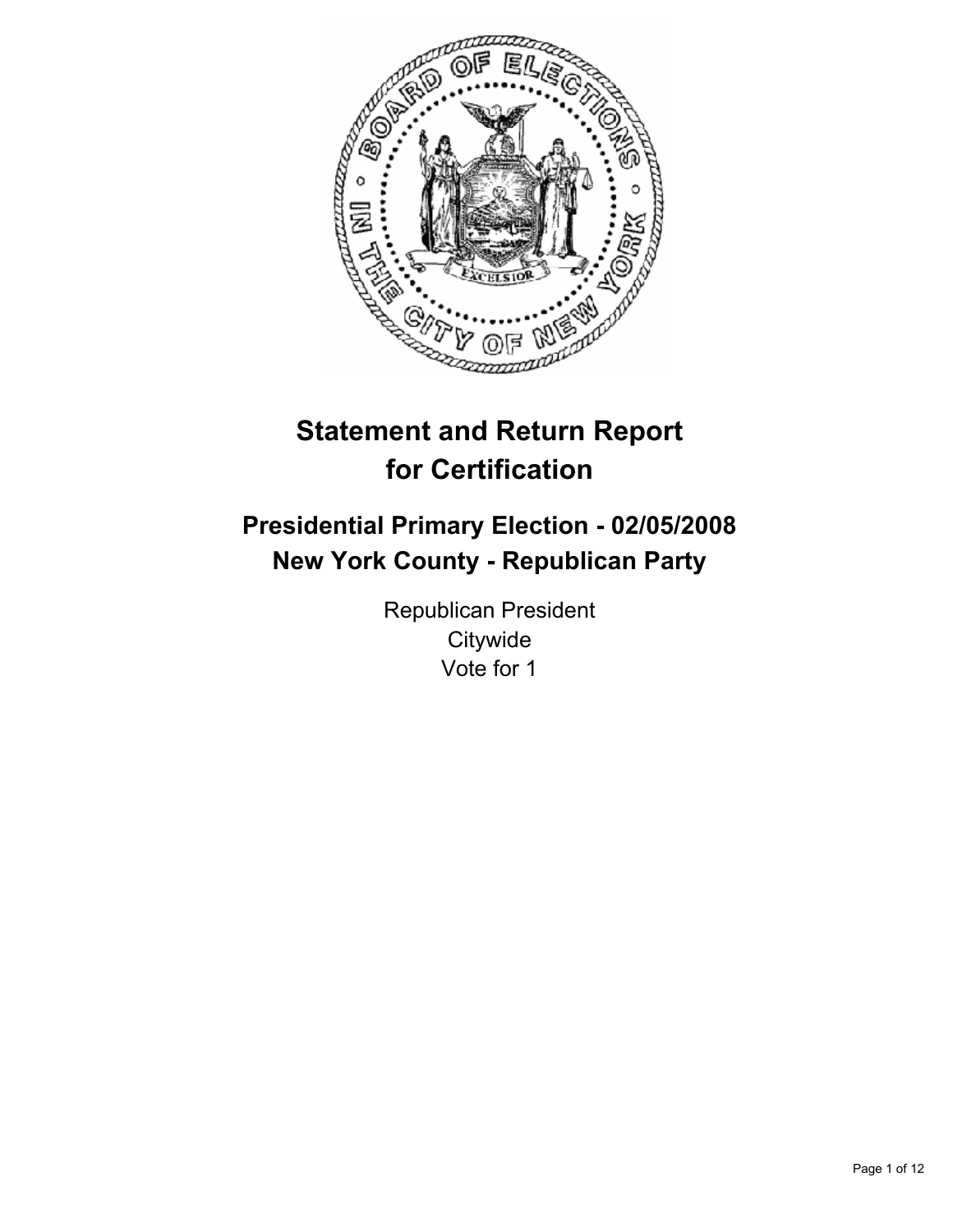

# **Statement and Return Report for Certification**

# **Presidential Primary Election - 02/05/2008 New York County - Republican Party**

Republican President **Citywide** Vote for 1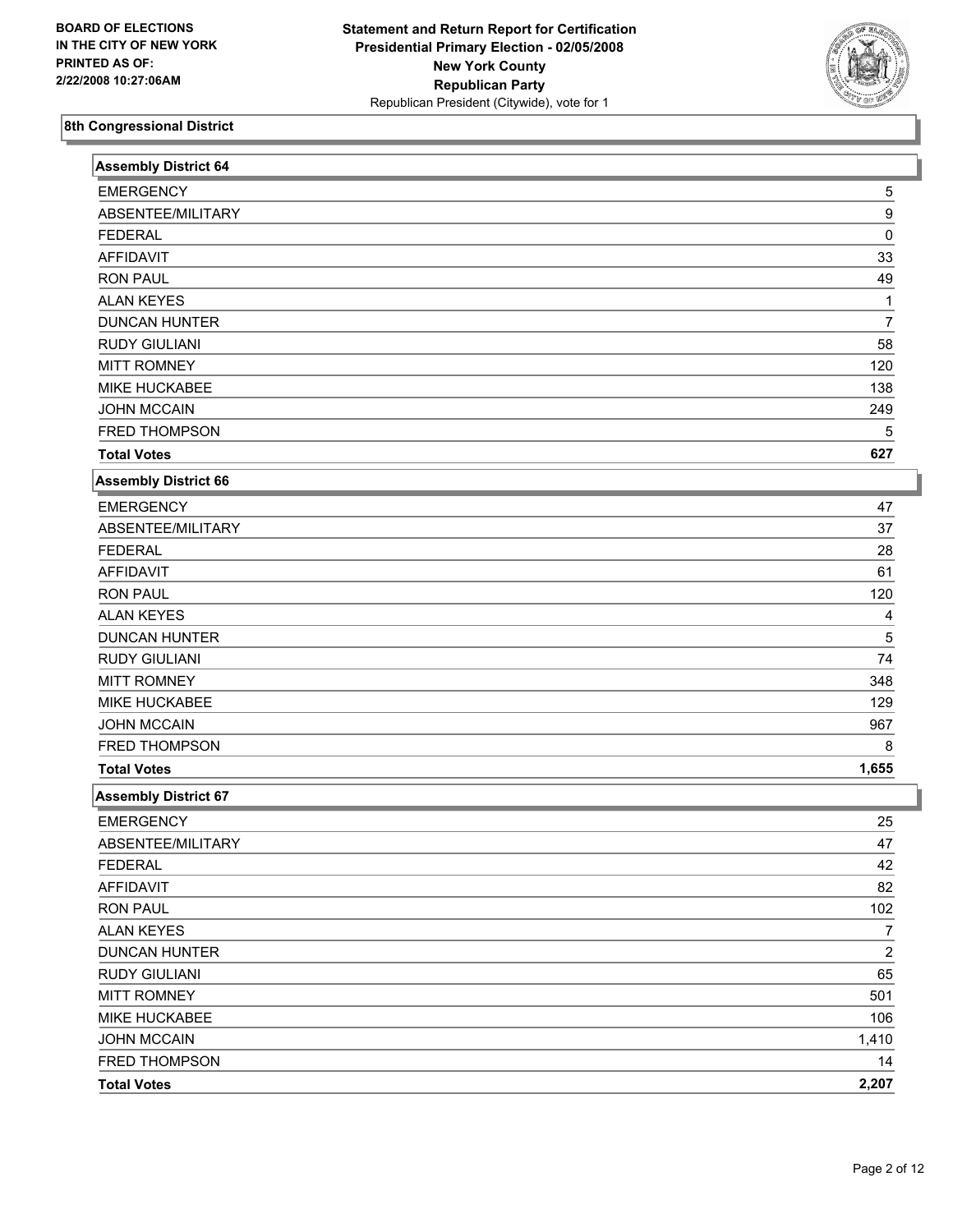

| <b>Assembly District 64</b> |                  |
|-----------------------------|------------------|
| <b>EMERGENCY</b>            | 5                |
| ABSENTEE/MILITARY           | 9                |
| <b>FEDERAL</b>              | 0                |
| <b>AFFIDAVIT</b>            | 33               |
| <b>RON PAUL</b>             | 49               |
| <b>ALAN KEYES</b>           | 1                |
| <b>DUNCAN HUNTER</b>        | 7                |
| <b>RUDY GIULIANI</b>        | 58               |
| <b>MITT ROMNEY</b>          | 120              |
| MIKE HUCKABEE               | 138              |
| <b>JOHN MCCAIN</b>          | 249              |
| FRED THOMPSON               | 5                |
| <b>Total Votes</b>          | 627              |
| <b>Assembly District 66</b> |                  |
| <b>EMERGENCY</b>            | 47               |
| ABSENTEE/MILITARY           | 37               |
| <b>FEDERAL</b>              | 28               |
| <b>AFFIDAVIT</b>            | 61               |
| <b>RON PAUL</b>             | 120              |
| <b>ALAN KEYES</b>           | 4                |
| <b>DUNCAN HUNTER</b>        | 5                |
| <b>RUDY GIULIANI</b>        | 74               |
| <b>MITT ROMNEY</b>          | 348              |
| MIKE HUCKABEE               | 129              |
| <b>JOHN MCCAIN</b>          | 967              |
| FRED THOMPSON               | 8                |
| <b>Total Votes</b>          | 1,655            |
| <b>Assembly District 67</b> |                  |
| <b>EMERGENCY</b>            | 25               |
| ABSENTEE/MILITARY           | 47               |
| <b>FEDERAL</b>              | 42               |
| <b>AFFIDAVIT</b>            | 82               |
| <b>RON PAUL</b>             | 102              |
| <b>ALAN KEYES</b>           | $\overline{7}$   |
| <b>DUNCAN HUNTER</b>        | $\boldsymbol{2}$ |
| RUDY GIULIANI               | 65               |
| <b>MITT ROMNEY</b>          | 501              |
| MIKE HUCKABEE               | 106              |
| <b>JOHN MCCAIN</b>          | 1,410            |
| FRED THOMPSON               | 14               |
| <b>Total Votes</b>          | 2,207            |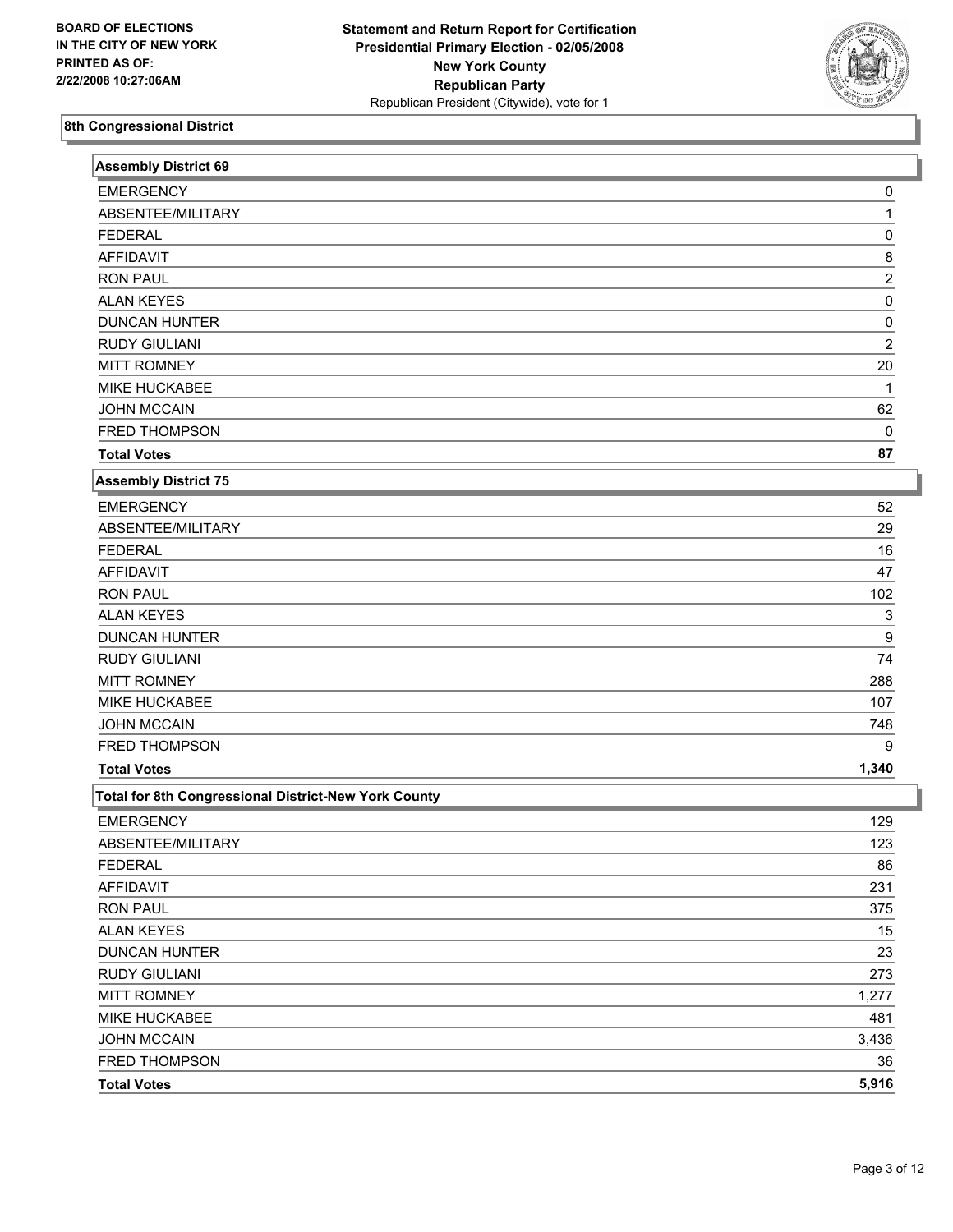

| <b>Assembly District 69</b>                          |                         |
|------------------------------------------------------|-------------------------|
| <b>EMERGENCY</b>                                     | 0                       |
| ABSENTEE/MILITARY                                    |                         |
| <b>FEDERAL</b>                                       | 0                       |
| <b>AFFIDAVIT</b>                                     | 8                       |
| <b>RON PAUL</b>                                      | $\overline{\mathbf{c}}$ |
| <b>ALAN KEYES</b>                                    | $\pmb{0}$               |
| <b>DUNCAN HUNTER</b>                                 | 0                       |
| <b>RUDY GIULIANI</b>                                 | $\overline{\mathbf{c}}$ |
| <b>MITT ROMNEY</b>                                   | 20                      |
| MIKE HUCKABEE                                        | 1                       |
| <b>JOHN MCCAIN</b>                                   | 62                      |
| FRED THOMPSON                                        | 0                       |
| <b>Total Votes</b>                                   | 87                      |
| <b>Assembly District 75</b>                          |                         |
| <b>EMERGENCY</b>                                     | 52                      |
| ABSENTEE/MILITARY                                    | 29                      |
| <b>FEDERAL</b>                                       | 16                      |
| <b>AFFIDAVIT</b>                                     | 47                      |
| <b>RON PAUL</b>                                      | 102                     |
| <b>ALAN KEYES</b>                                    | 3                       |
| <b>DUNCAN HUNTER</b>                                 | 9                       |
| <b>RUDY GIULIANI</b>                                 | 74                      |
| <b>MITT ROMNEY</b>                                   | 288                     |
| MIKE HUCKABEE                                        | 107                     |
| <b>JOHN MCCAIN</b>                                   | 748                     |
| FRED THOMPSON                                        | 9                       |
| <b>Total Votes</b>                                   | 1,340                   |
| Total for 8th Congressional District-New York County |                         |
| <b>EMERGENCY</b>                                     | 129                     |
| ABSENTEE/MILITARY                                    | 123                     |
| <b>FEDERAL</b>                                       | 86                      |
| AFFIDAVIT                                            | 231                     |
| <b>RON PAUL</b>                                      | 375                     |
| <b>ALAN KEYES</b>                                    | 15                      |
| <b>DUNCAN HUNTER</b>                                 | 23                      |
| <b>RUDY GIULIANI</b>                                 | 273                     |
| <b>MITT ROMNEY</b>                                   | 1,277                   |
| MIKE HUCKABEE                                        | 481                     |
| <b>JOHN MCCAIN</b>                                   | 3,436                   |
| FRED THOMPSON                                        | 36                      |
| <b>Total Votes</b>                                   | 5,916                   |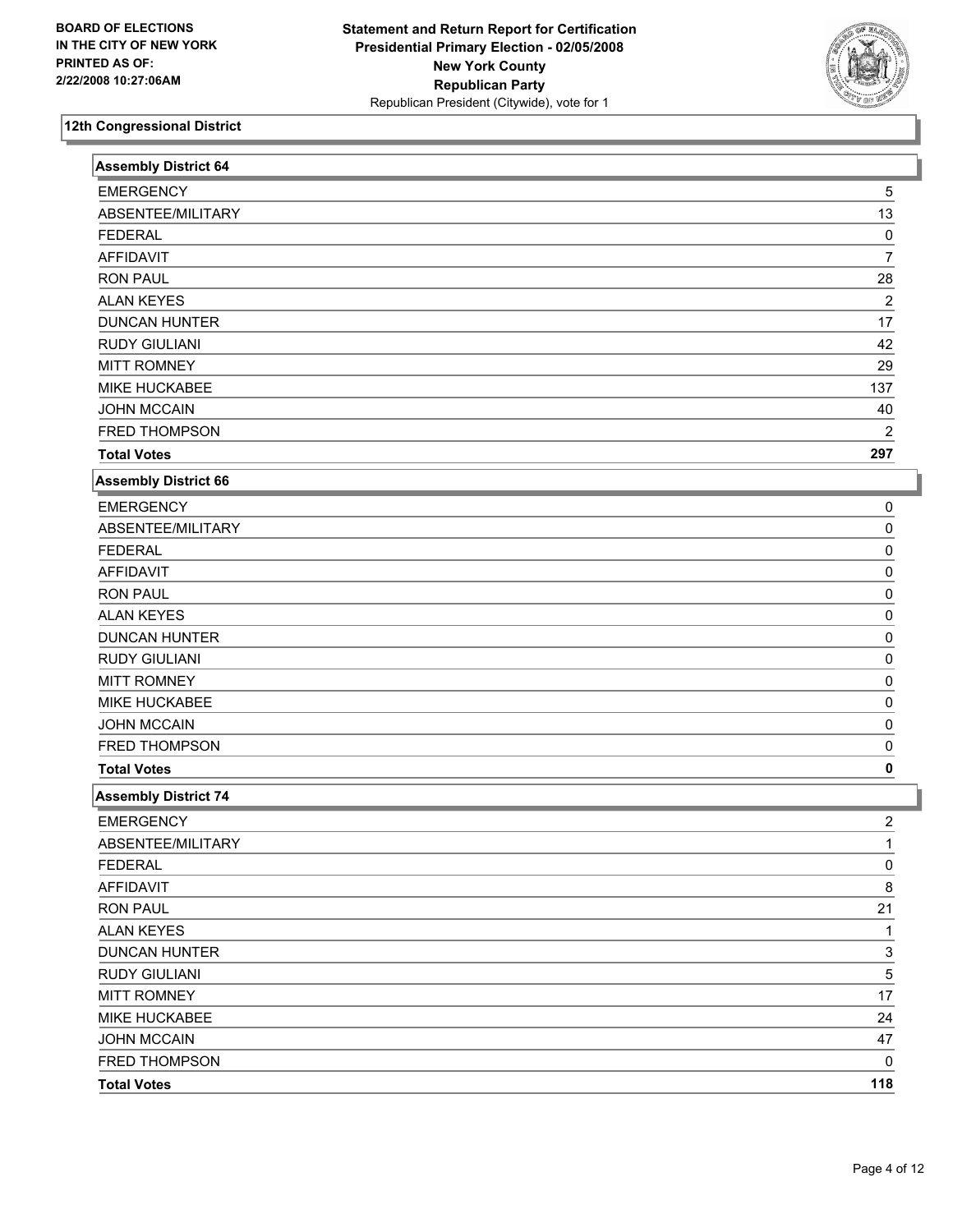

| <b>Assembly District 64</b> |                |  |
|-----------------------------|----------------|--|
| <b>EMERGENCY</b>            | 5              |  |
| ABSENTEE/MILITARY           | 13             |  |
| <b>FEDERAL</b>              | 0              |  |
| <b>AFFIDAVIT</b>            | $\overline{7}$ |  |
| <b>RON PAUL</b>             | 28             |  |
| <b>ALAN KEYES</b>           | $\overline{c}$ |  |
| <b>DUNCAN HUNTER</b>        | 17             |  |
| <b>RUDY GIULIANI</b>        | 42             |  |
| <b>MITT ROMNEY</b>          | 29             |  |
| MIKE HUCKABEE               | 137            |  |
| <b>JOHN MCCAIN</b>          | 40             |  |
| FRED THOMPSON               | 2              |  |
| <b>Total Votes</b>          | 297            |  |
| <b>Assembly District 66</b> |                |  |
| <b>EMERGENCY</b>            | 0              |  |
| ABSENTEE/MILITARY           | 0              |  |
| <b>FEDERAL</b>              | 0              |  |
| <b>AFFIDAVIT</b>            | 0              |  |
| <b>RON PAUL</b>             | 0              |  |
| <b>ALAN KEYES</b>           | 0              |  |
| <b>DUNCAN HUNTER</b>        | 0              |  |
| <b>RUDY GIULIANI</b>        | 0              |  |
| <b>MITT ROMNEY</b>          | 0              |  |
| MIKE HUCKABEE               | 0              |  |
| <b>JOHN MCCAIN</b>          | 0              |  |
| FRED THOMPSON               | 0              |  |
| <b>Total Votes</b>          | 0              |  |
| <b>Assembly District 74</b> |                |  |
| <b>EMERGENCY</b>            | 2              |  |
| ABSENTEE/MILITARY           | 1              |  |
| <b>FEDERAL</b>              | $\overline{0}$ |  |
| <b>AFFIDAVIT</b>            | 8              |  |
| <b>RON PAUL</b>             | 21             |  |
| <b>ALAN KEYES</b>           | 1              |  |
| <b>DUNCAN HUNTER</b>        | 3              |  |
| <b>RUDY GIULIANI</b>        | 5              |  |
| <b>MITT ROMNEY</b>          | 17             |  |
| MIKE HUCKABEE               | 24             |  |
| <b>JOHN MCCAIN</b>          | 47             |  |
| FRED THOMPSON               | 0              |  |
| <b>Total Votes</b>          | 118            |  |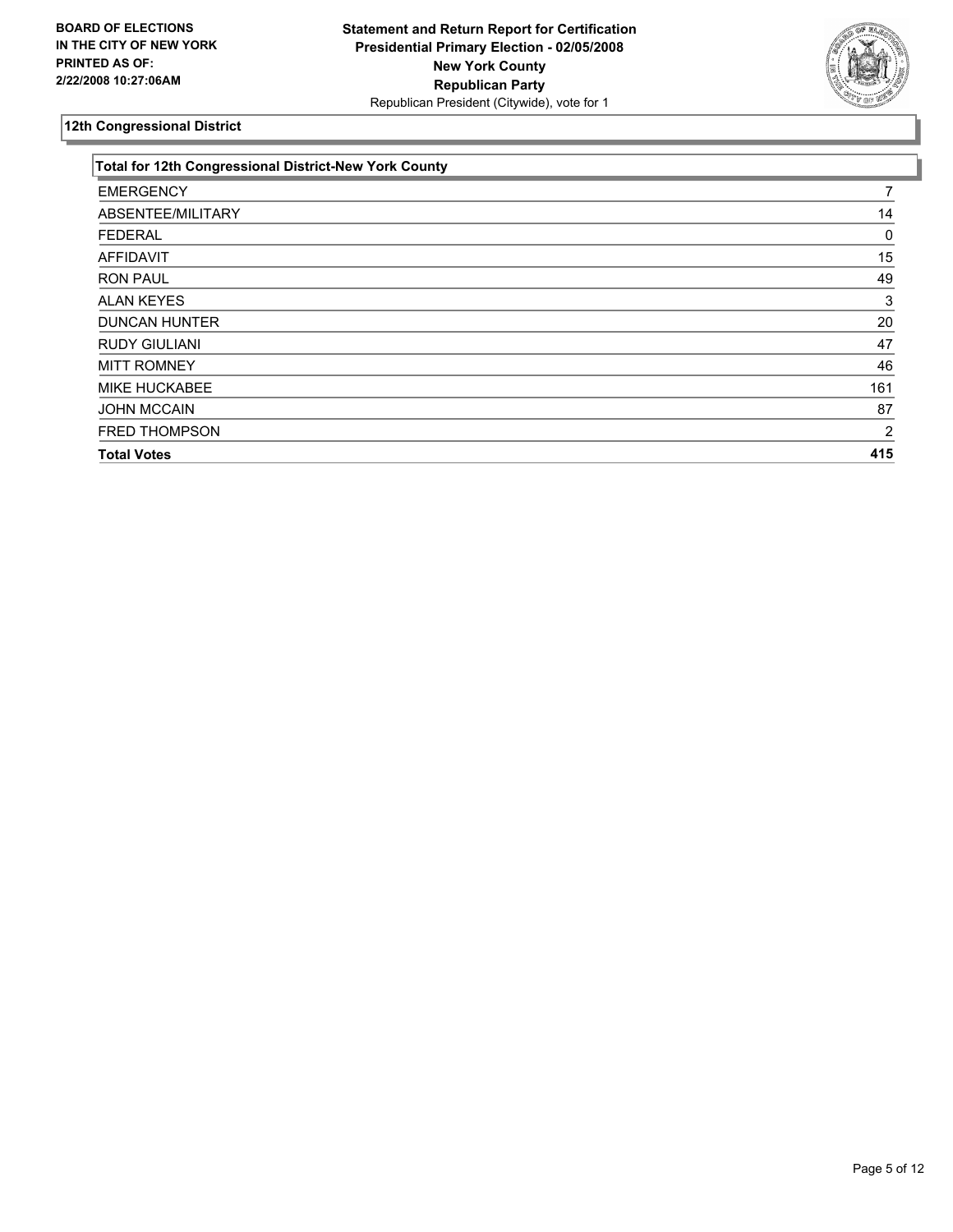

| Total for 12th Congressional District-New York County |     |
|-------------------------------------------------------|-----|
| <b>EMERGENCY</b>                                      |     |
| ABSENTEE/MILITARY                                     | 14  |
| <b>FEDERAL</b>                                        |     |
| <b>AFFIDAVIT</b>                                      | 15  |
| <b>RON PAUL</b>                                       | 49  |
| <b>ALAN KEYES</b>                                     | 3   |
| <b>DUNCAN HUNTER</b>                                  | 20  |
| <b>RUDY GIULIANI</b>                                  | 47  |
| <b>MITT ROMNEY</b>                                    | 46  |
| <b>MIKE HUCKABEE</b>                                  | 161 |
| <b>JOHN MCCAIN</b>                                    | 87  |
| <b>FRED THOMPSON</b>                                  | 2   |
| <b>Total Votes</b>                                    | 415 |
|                                                       |     |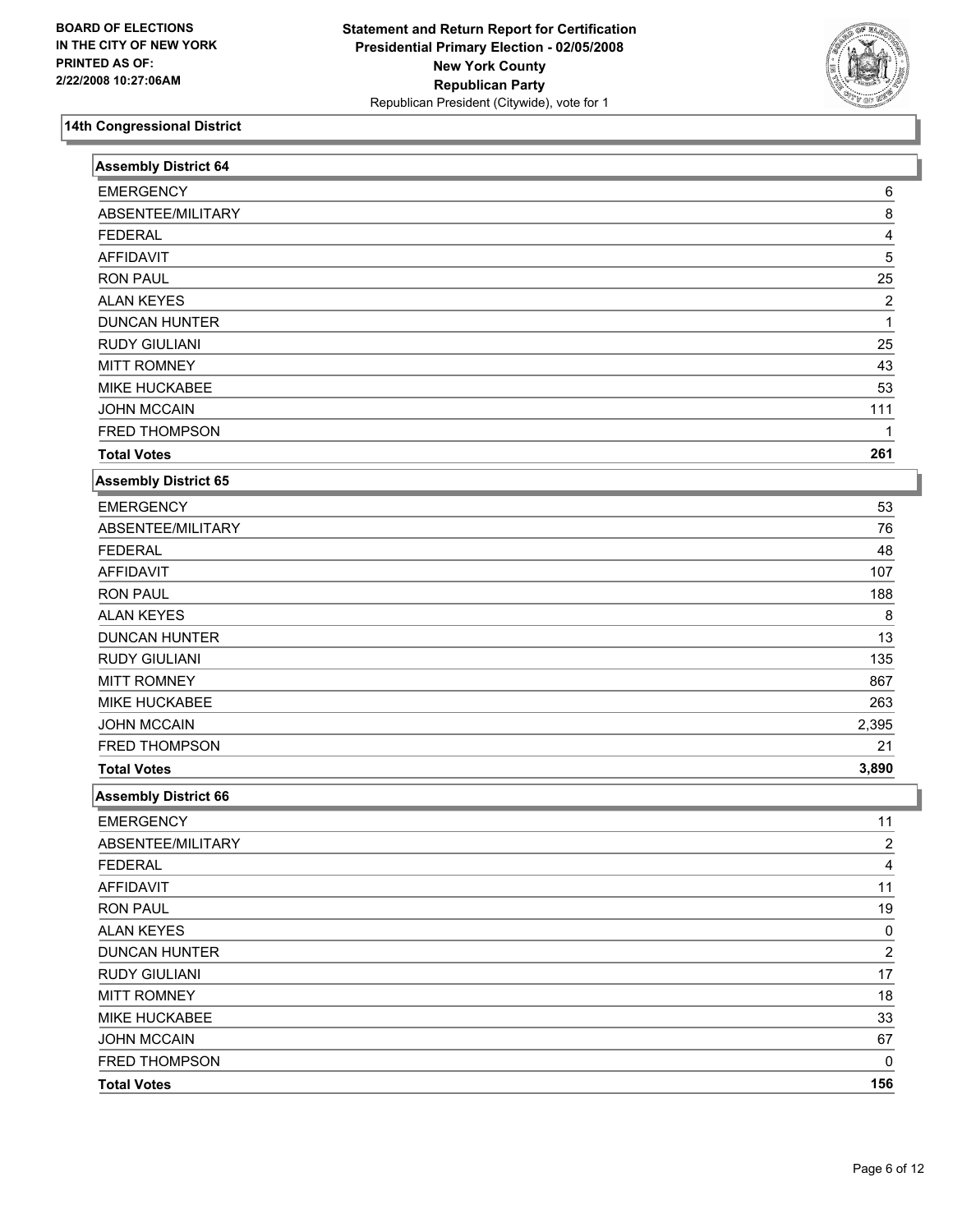

| <b>EMERGENCY</b><br>6<br>ABSENTEE/MILITARY<br>8<br><b>FEDERAL</b><br>4<br>5<br><b>AFFIDAVIT</b><br>25<br><b>RON PAUL</b><br><b>ALAN KEYES</b><br>$\overline{2}$<br><b>DUNCAN HUNTER</b><br><b>RUDY GIULIANI</b><br>25<br><b>MITT ROMNEY</b><br>43<br>MIKE HUCKABEE<br>53<br><b>JOHN MCCAIN</b><br>111<br>FRED THOMPSON<br>1<br><b>Total Votes</b><br>261<br>Assembly District 65<br><b>EMERGENCY</b><br>53<br>ABSENTEE/MILITARY<br>76<br><b>FEDERAL</b><br>48<br><b>AFFIDAVIT</b><br>107<br><b>RON PAUL</b><br>188<br><b>ALAN KEYES</b><br>8<br><b>DUNCAN HUNTER</b><br>13<br><b>RUDY GIULIANI</b><br>135<br><b>MITT ROMNEY</b><br>867<br>MIKE HUCKABEE<br>263<br><b>JOHN MCCAIN</b><br>2,395<br>FRED THOMPSON<br>21<br><b>Total Votes</b><br>3,890<br><b>Assembly District 66</b><br><b>EMERGENCY</b><br>11<br>ABSENTEE/MILITARY<br>2<br><b>FEDERAL</b><br>4<br><b>AFFIDAVIT</b><br>11<br><b>RON PAUL</b><br>19<br><b>ALAN KEYES</b><br>0<br>$\overline{2}$<br><b>DUNCAN HUNTER</b><br><b>RUDY GIULIANI</b><br>17<br><b>MITT ROMNEY</b><br>18<br>MIKE HUCKABEE<br>33<br>JOHN MCCAIN<br>67<br>FRED THOMPSON<br>0 | <b>Assembly District 64</b> |     |  |
|------------------------------------------------------------------------------------------------------------------------------------------------------------------------------------------------------------------------------------------------------------------------------------------------------------------------------------------------------------------------------------------------------------------------------------------------------------------------------------------------------------------------------------------------------------------------------------------------------------------------------------------------------------------------------------------------------------------------------------------------------------------------------------------------------------------------------------------------------------------------------------------------------------------------------------------------------------------------------------------------------------------------------------------------------------------------------------------------------------------|-----------------------------|-----|--|
|                                                                                                                                                                                                                                                                                                                                                                                                                                                                                                                                                                                                                                                                                                                                                                                                                                                                                                                                                                                                                                                                                                                  |                             |     |  |
|                                                                                                                                                                                                                                                                                                                                                                                                                                                                                                                                                                                                                                                                                                                                                                                                                                                                                                                                                                                                                                                                                                                  |                             |     |  |
|                                                                                                                                                                                                                                                                                                                                                                                                                                                                                                                                                                                                                                                                                                                                                                                                                                                                                                                                                                                                                                                                                                                  |                             |     |  |
|                                                                                                                                                                                                                                                                                                                                                                                                                                                                                                                                                                                                                                                                                                                                                                                                                                                                                                                                                                                                                                                                                                                  |                             |     |  |
|                                                                                                                                                                                                                                                                                                                                                                                                                                                                                                                                                                                                                                                                                                                                                                                                                                                                                                                                                                                                                                                                                                                  |                             |     |  |
|                                                                                                                                                                                                                                                                                                                                                                                                                                                                                                                                                                                                                                                                                                                                                                                                                                                                                                                                                                                                                                                                                                                  |                             |     |  |
|                                                                                                                                                                                                                                                                                                                                                                                                                                                                                                                                                                                                                                                                                                                                                                                                                                                                                                                                                                                                                                                                                                                  |                             |     |  |
|                                                                                                                                                                                                                                                                                                                                                                                                                                                                                                                                                                                                                                                                                                                                                                                                                                                                                                                                                                                                                                                                                                                  |                             |     |  |
|                                                                                                                                                                                                                                                                                                                                                                                                                                                                                                                                                                                                                                                                                                                                                                                                                                                                                                                                                                                                                                                                                                                  |                             |     |  |
|                                                                                                                                                                                                                                                                                                                                                                                                                                                                                                                                                                                                                                                                                                                                                                                                                                                                                                                                                                                                                                                                                                                  |                             |     |  |
|                                                                                                                                                                                                                                                                                                                                                                                                                                                                                                                                                                                                                                                                                                                                                                                                                                                                                                                                                                                                                                                                                                                  |                             |     |  |
|                                                                                                                                                                                                                                                                                                                                                                                                                                                                                                                                                                                                                                                                                                                                                                                                                                                                                                                                                                                                                                                                                                                  |                             |     |  |
|                                                                                                                                                                                                                                                                                                                                                                                                                                                                                                                                                                                                                                                                                                                                                                                                                                                                                                                                                                                                                                                                                                                  |                             |     |  |
|                                                                                                                                                                                                                                                                                                                                                                                                                                                                                                                                                                                                                                                                                                                                                                                                                                                                                                                                                                                                                                                                                                                  |                             |     |  |
|                                                                                                                                                                                                                                                                                                                                                                                                                                                                                                                                                                                                                                                                                                                                                                                                                                                                                                                                                                                                                                                                                                                  |                             |     |  |
|                                                                                                                                                                                                                                                                                                                                                                                                                                                                                                                                                                                                                                                                                                                                                                                                                                                                                                                                                                                                                                                                                                                  |                             |     |  |
|                                                                                                                                                                                                                                                                                                                                                                                                                                                                                                                                                                                                                                                                                                                                                                                                                                                                                                                                                                                                                                                                                                                  |                             |     |  |
|                                                                                                                                                                                                                                                                                                                                                                                                                                                                                                                                                                                                                                                                                                                                                                                                                                                                                                                                                                                                                                                                                                                  |                             |     |  |
|                                                                                                                                                                                                                                                                                                                                                                                                                                                                                                                                                                                                                                                                                                                                                                                                                                                                                                                                                                                                                                                                                                                  |                             |     |  |
|                                                                                                                                                                                                                                                                                                                                                                                                                                                                                                                                                                                                                                                                                                                                                                                                                                                                                                                                                                                                                                                                                                                  |                             |     |  |
|                                                                                                                                                                                                                                                                                                                                                                                                                                                                                                                                                                                                                                                                                                                                                                                                                                                                                                                                                                                                                                                                                                                  |                             |     |  |
|                                                                                                                                                                                                                                                                                                                                                                                                                                                                                                                                                                                                                                                                                                                                                                                                                                                                                                                                                                                                                                                                                                                  |                             |     |  |
|                                                                                                                                                                                                                                                                                                                                                                                                                                                                                                                                                                                                                                                                                                                                                                                                                                                                                                                                                                                                                                                                                                                  |                             |     |  |
|                                                                                                                                                                                                                                                                                                                                                                                                                                                                                                                                                                                                                                                                                                                                                                                                                                                                                                                                                                                                                                                                                                                  |                             |     |  |
|                                                                                                                                                                                                                                                                                                                                                                                                                                                                                                                                                                                                                                                                                                                                                                                                                                                                                                                                                                                                                                                                                                                  |                             |     |  |
|                                                                                                                                                                                                                                                                                                                                                                                                                                                                                                                                                                                                                                                                                                                                                                                                                                                                                                                                                                                                                                                                                                                  |                             |     |  |
|                                                                                                                                                                                                                                                                                                                                                                                                                                                                                                                                                                                                                                                                                                                                                                                                                                                                                                                                                                                                                                                                                                                  |                             |     |  |
|                                                                                                                                                                                                                                                                                                                                                                                                                                                                                                                                                                                                                                                                                                                                                                                                                                                                                                                                                                                                                                                                                                                  |                             |     |  |
|                                                                                                                                                                                                                                                                                                                                                                                                                                                                                                                                                                                                                                                                                                                                                                                                                                                                                                                                                                                                                                                                                                                  |                             |     |  |
|                                                                                                                                                                                                                                                                                                                                                                                                                                                                                                                                                                                                                                                                                                                                                                                                                                                                                                                                                                                                                                                                                                                  |                             |     |  |
|                                                                                                                                                                                                                                                                                                                                                                                                                                                                                                                                                                                                                                                                                                                                                                                                                                                                                                                                                                                                                                                                                                                  |                             |     |  |
|                                                                                                                                                                                                                                                                                                                                                                                                                                                                                                                                                                                                                                                                                                                                                                                                                                                                                                                                                                                                                                                                                                                  |                             |     |  |
|                                                                                                                                                                                                                                                                                                                                                                                                                                                                                                                                                                                                                                                                                                                                                                                                                                                                                                                                                                                                                                                                                                                  |                             |     |  |
|                                                                                                                                                                                                                                                                                                                                                                                                                                                                                                                                                                                                                                                                                                                                                                                                                                                                                                                                                                                                                                                                                                                  |                             |     |  |
|                                                                                                                                                                                                                                                                                                                                                                                                                                                                                                                                                                                                                                                                                                                                                                                                                                                                                                                                                                                                                                                                                                                  |                             |     |  |
|                                                                                                                                                                                                                                                                                                                                                                                                                                                                                                                                                                                                                                                                                                                                                                                                                                                                                                                                                                                                                                                                                                                  |                             |     |  |
|                                                                                                                                                                                                                                                                                                                                                                                                                                                                                                                                                                                                                                                                                                                                                                                                                                                                                                                                                                                                                                                                                                                  |                             |     |  |
|                                                                                                                                                                                                                                                                                                                                                                                                                                                                                                                                                                                                                                                                                                                                                                                                                                                                                                                                                                                                                                                                                                                  |                             |     |  |
|                                                                                                                                                                                                                                                                                                                                                                                                                                                                                                                                                                                                                                                                                                                                                                                                                                                                                                                                                                                                                                                                                                                  |                             |     |  |
|                                                                                                                                                                                                                                                                                                                                                                                                                                                                                                                                                                                                                                                                                                                                                                                                                                                                                                                                                                                                                                                                                                                  |                             |     |  |
|                                                                                                                                                                                                                                                                                                                                                                                                                                                                                                                                                                                                                                                                                                                                                                                                                                                                                                                                                                                                                                                                                                                  | <b>Total Votes</b>          | 156 |  |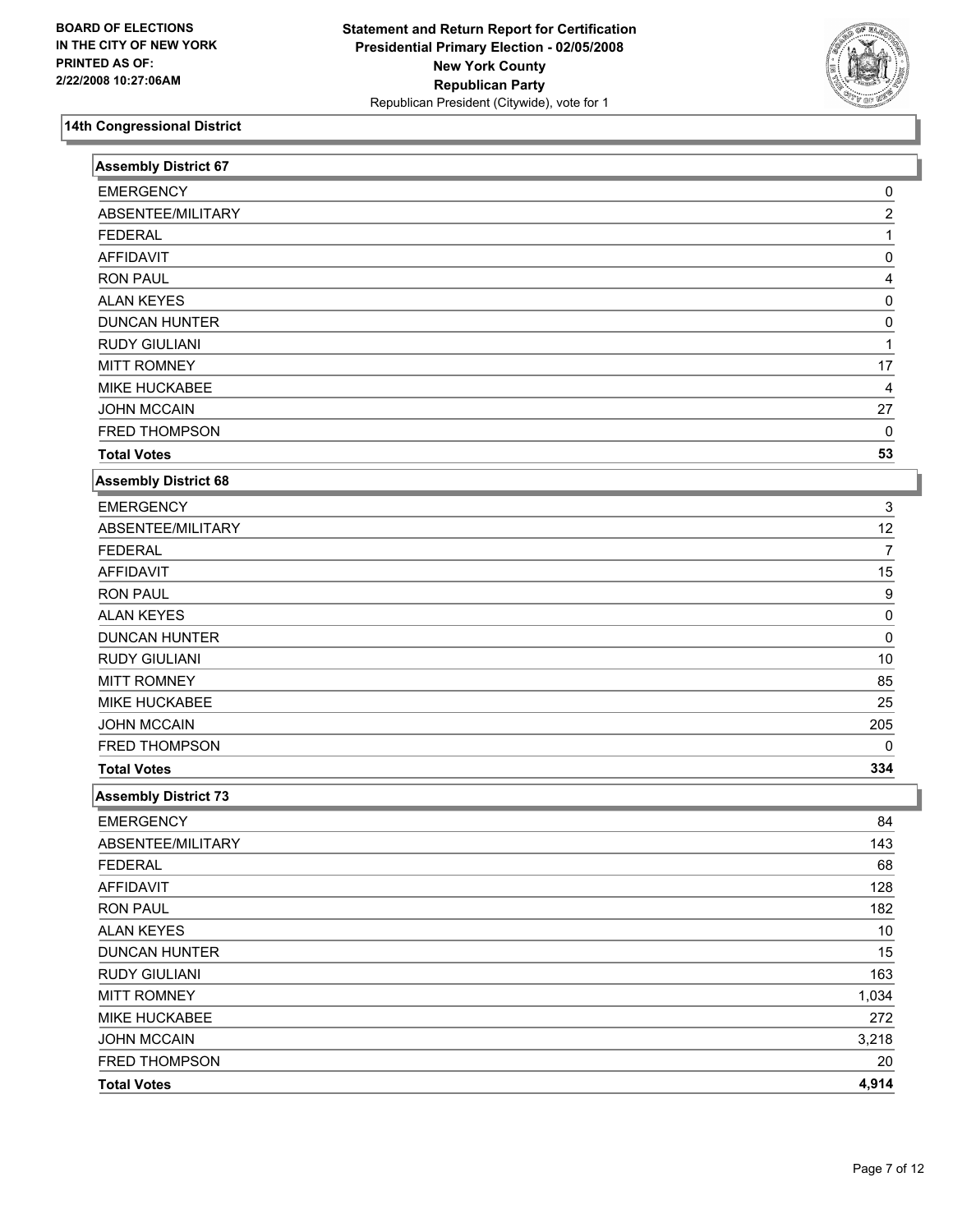

| <b>Assembly District 67</b> |       |
|-----------------------------|-------|
| <b>EMERGENCY</b>            | 0     |
| ABSENTEE/MILITARY           | 2     |
| <b>FEDERAL</b>              |       |
| <b>AFFIDAVIT</b>            | 0     |
| <b>RON PAUL</b>             | 4     |
| <b>ALAN KEYES</b>           | 0     |
| <b>DUNCAN HUNTER</b>        | 0     |
| <b>RUDY GIULIANI</b>        |       |
| <b>MITT ROMNEY</b>          | 17    |
| MIKE HUCKABEE               | 4     |
| <b>JOHN MCCAIN</b>          | 27    |
| FRED THOMPSON               | 0     |
| <b>Total Votes</b>          | 53    |
| <b>Assembly District 68</b> |       |
| <b>EMERGENCY</b>            | 3     |
| ABSENTEE/MILITARY           | 12    |
| <b>FEDERAL</b>              | 7     |
| <b>AFFIDAVIT</b>            | 15    |
| <b>RON PAUL</b>             | 9     |
| <b>ALAN KEYES</b>           | 0     |
| <b>DUNCAN HUNTER</b>        | 0     |
| <b>RUDY GIULIANI</b>        | $10$  |
| <b>MITT ROMNEY</b>          | 85    |
| MIKE HUCKABEE               | 25    |
| <b>JOHN MCCAIN</b>          | 205   |
| FRED THOMPSON               | 0     |
| <b>Total Votes</b>          | 334   |
| <b>Assembly District 73</b> |       |
| <b>EMERGENCY</b>            | 84    |
| ABSENTEE/MILITARY           | 143   |
| <b>FEDERAL</b>              | 68    |
| <b>AFFIDAVIT</b>            | 128   |
| <b>RON PAUL</b>             | 182   |
| <b>ALAN KEYES</b>           | 10    |
| <b>DUNCAN HUNTER</b>        | 15    |
| <b>RUDY GIULIANI</b>        | 163   |
| <b>MITT ROMNEY</b>          | 1,034 |
| MIKE HUCKABEE               | 272   |
| <b>JOHN MCCAIN</b>          | 3,218 |
| FRED THOMPSON               | 20    |
| <b>Total Votes</b>          | 4,914 |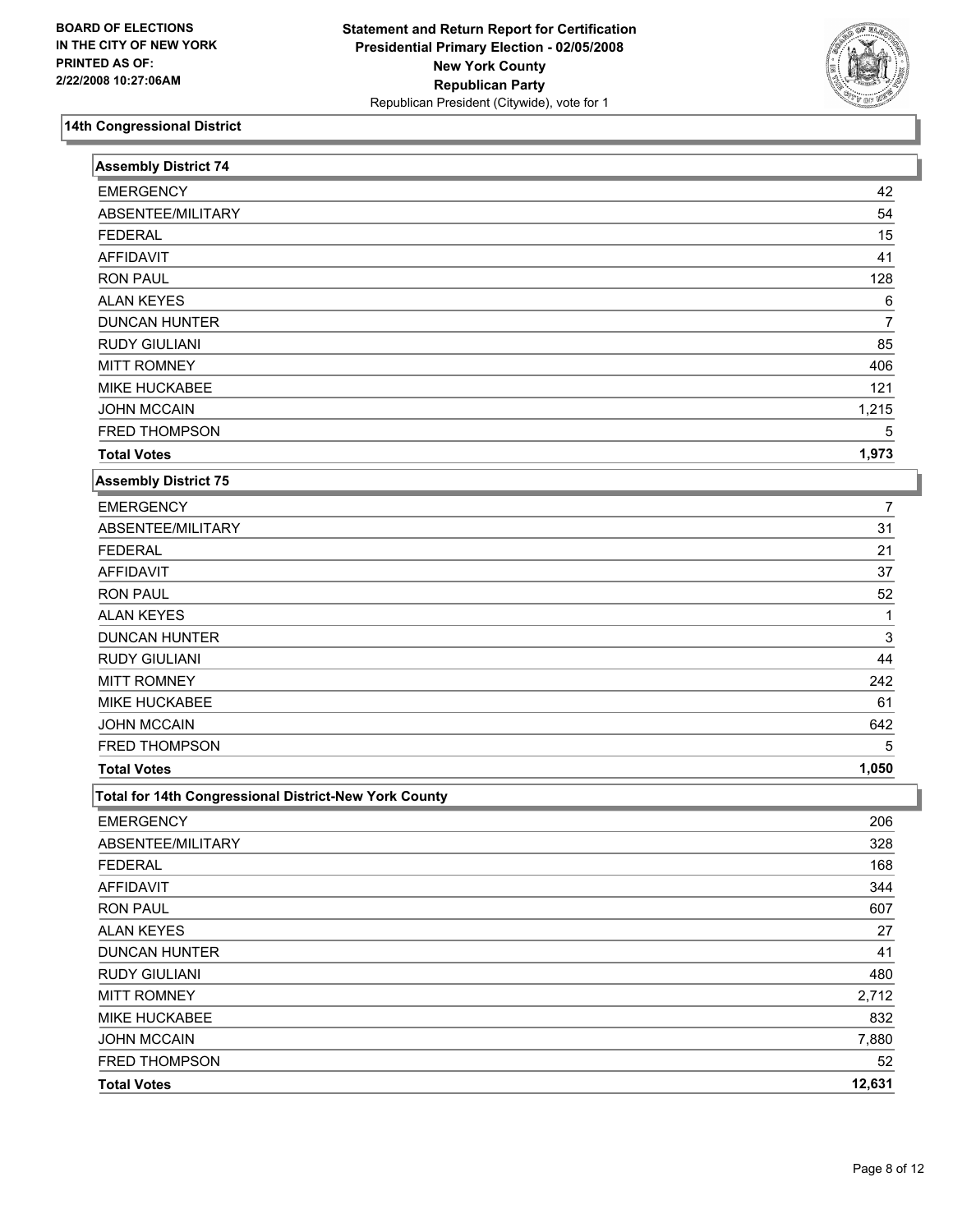

| <b>Assembly District 74</b>                           |        |
|-------------------------------------------------------|--------|
| <b>EMERGENCY</b>                                      | 42     |
| ABSENTEE/MILITARY                                     | 54     |
| <b>FEDERAL</b>                                        | 15     |
| <b>AFFIDAVIT</b>                                      | 41     |
| <b>RON PAUL</b>                                       | 128    |
| <b>ALAN KEYES</b>                                     | 6      |
| <b>DUNCAN HUNTER</b>                                  | 7      |
| <b>RUDY GIULIANI</b>                                  | 85     |
| <b>MITT ROMNEY</b>                                    | 406    |
| MIKE HUCKABEE                                         | 121    |
| <b>JOHN MCCAIN</b>                                    | 1,215  |
| FRED THOMPSON                                         | 5      |
| <b>Total Votes</b>                                    | 1,973  |
| <b>Assembly District 75</b>                           |        |
| <b>EMERGENCY</b>                                      | 7      |
| ABSENTEE/MILITARY                                     | 31     |
| <b>FEDERAL</b>                                        | 21     |
| <b>AFFIDAVIT</b>                                      | 37     |
| <b>RON PAUL</b>                                       | 52     |
| <b>ALAN KEYES</b>                                     | 1      |
| <b>DUNCAN HUNTER</b>                                  | 3      |
| <b>RUDY GIULIANI</b>                                  | 44     |
| <b>MITT ROMNEY</b>                                    | 242    |
| MIKE HUCKABEE                                         | 61     |
| <b>JOHN MCCAIN</b>                                    | 642    |
| FRED THOMPSON                                         | 5      |
| <b>Total Votes</b>                                    | 1,050  |
| Total for 14th Congressional District-New York County |        |
| <b>EMERGENCY</b>                                      | 206    |
| ABSENTEE/MILITARY                                     | 328    |
| <b>FEDERAL</b>                                        | 168    |
| <b>AFFIDAVIT</b>                                      | 344    |
| <b>RON PAUL</b>                                       | 607    |
| <b>ALAN KEYES</b>                                     | 27     |
| <b>DUNCAN HUNTER</b>                                  | 41     |
| <b>RUDY GIULIANI</b>                                  | 480    |
| <b>MITT ROMNEY</b>                                    | 2,712  |
| <b>MIKE HUCKABEE</b>                                  | 832    |
| <b>JOHN MCCAIN</b>                                    | 7,880  |
| FRED THOMPSON                                         | 52     |
| <b>Total Votes</b>                                    | 12,631 |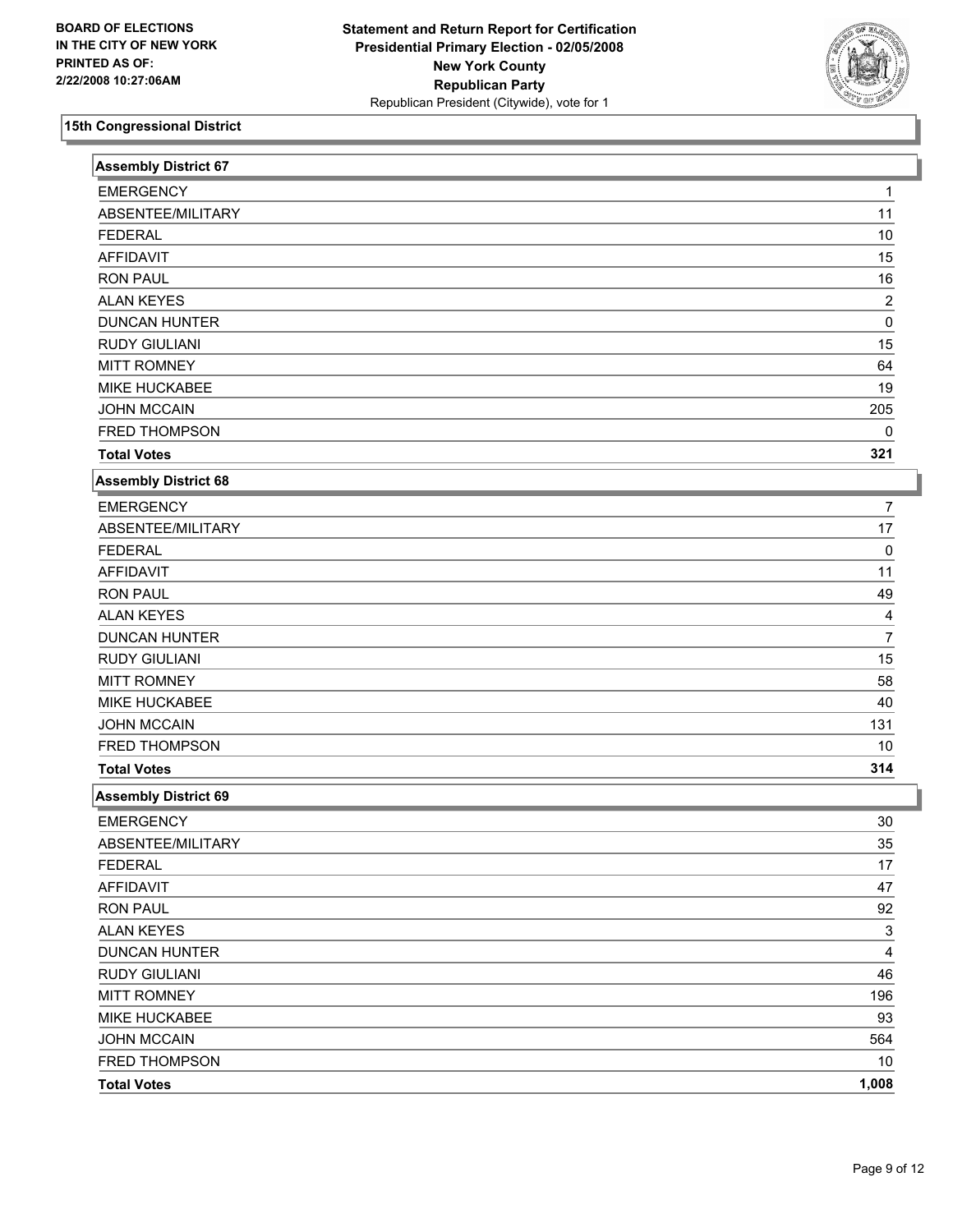

| <b>Assembly District 67</b> |                         |
|-----------------------------|-------------------------|
| <b>EMERGENCY</b>            |                         |
| ABSENTEE/MILITARY           | 11                      |
| <b>FEDERAL</b>              | 10                      |
| <b>AFFIDAVIT</b>            | 15                      |
| <b>RON PAUL</b>             | 16                      |
| <b>ALAN KEYES</b>           | $\overline{2}$          |
| <b>DUNCAN HUNTER</b>        | 0                       |
| <b>RUDY GIULIANI</b>        | 15                      |
| <b>MITT ROMNEY</b>          | 64                      |
| MIKE HUCKABEE               | 19                      |
| <b>JOHN MCCAIN</b>          | 205                     |
| FRED THOMPSON               | $\mathbf{0}$            |
| <b>Total Votes</b>          | 321                     |
| <b>Assembly District 68</b> |                         |
| <b>EMERGENCY</b>            | 7                       |
| ABSENTEE/MILITARY           | 17                      |
| <b>FEDERAL</b>              | 0                       |
| <b>AFFIDAVIT</b>            | 11                      |
| <b>RON PAUL</b>             | 49                      |
| <b>ALAN KEYES</b>           | 4                       |
| <b>DUNCAN HUNTER</b>        | $\overline{7}$          |
| <b>RUDY GIULIANI</b>        | 15                      |
| <b>MITT ROMNEY</b>          | 58                      |
| MIKE HUCKABEE               | 40                      |
| <b>JOHN MCCAIN</b>          | 131                     |
| FRED THOMPSON               | 10                      |
| <b>Total Votes</b>          | 314                     |
| <b>Assembly District 69</b> |                         |
| <b>EMERGENCY</b>            | 30                      |
| ABSENTEE/MILITARY           | 35                      |
| <b>FEDERAL</b>              | 17                      |
| <b>AFFIDAVIT</b>            | 47                      |
| <b>RON PAUL</b>             | 92                      |
| <b>ALAN KEYES</b>           | 3                       |
| <b>DUNCAN HUNTER</b>        | $\overline{\mathbf{4}}$ |
| RUDY GIULIANI               | 46                      |
| <b>MITT ROMNEY</b>          | 196                     |
| MIKE HUCKABEE               | 93                      |
| <b>JOHN MCCAIN</b>          | 564                     |
| FRED THOMPSON               | 10                      |
| <b>Total Votes</b>          | 1,008                   |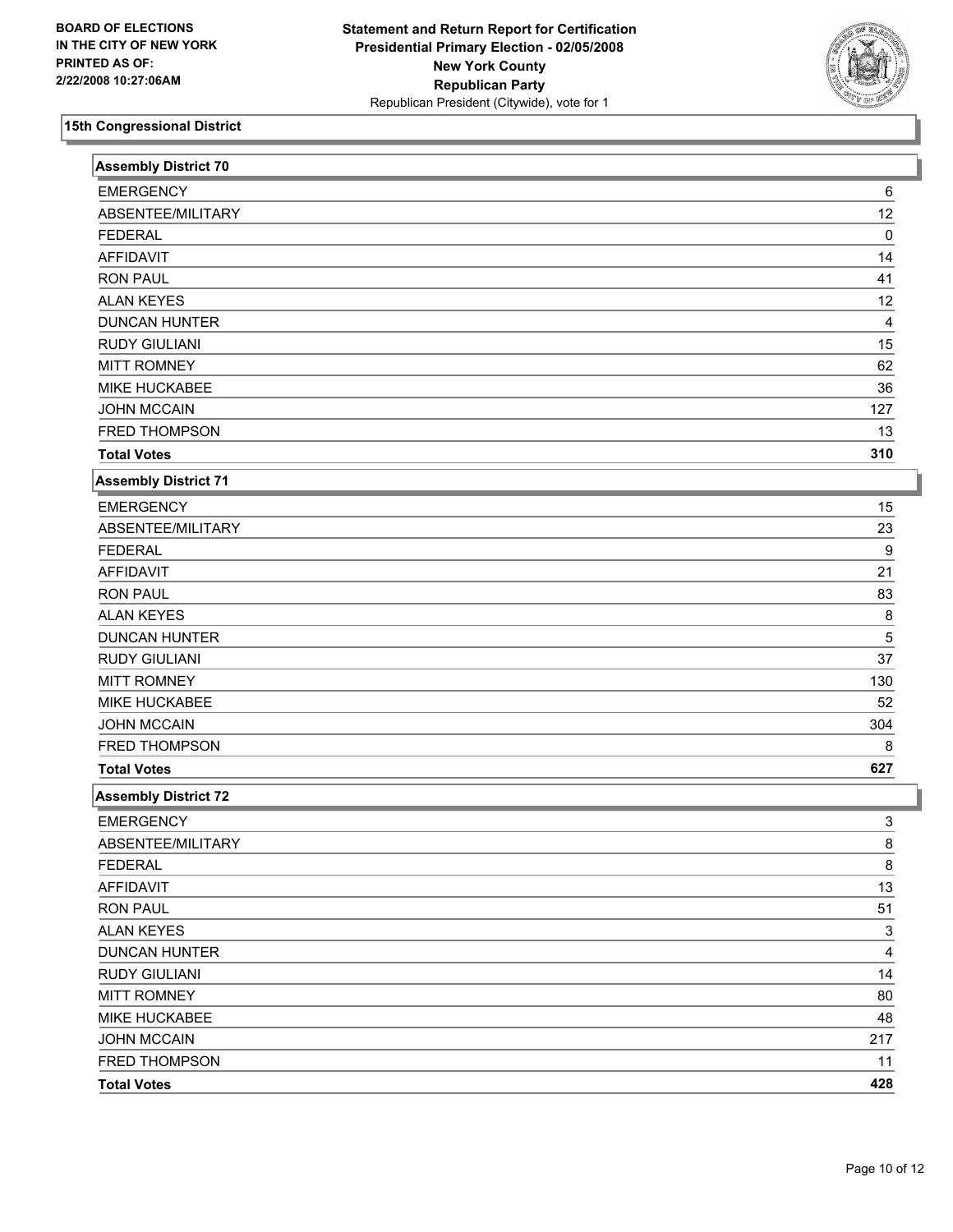

| <b>Assembly District 70</b> |                |  |
|-----------------------------|----------------|--|
| <b>EMERGENCY</b>            | 6              |  |
| ABSENTEE/MILITARY           | 12             |  |
| <b>FEDERAL</b>              | 0              |  |
| <b>AFFIDAVIT</b>            | 14             |  |
| <b>RON PAUL</b>             | 41             |  |
| <b>ALAN KEYES</b>           | 12             |  |
| <b>DUNCAN HUNTER</b>        | 4              |  |
| <b>RUDY GIULIANI</b>        | 15             |  |
| <b>MITT ROMNEY</b>          | 62             |  |
| MIKE HUCKABEE               | 36             |  |
| <b>JOHN MCCAIN</b>          | 127            |  |
| FRED THOMPSON               | 13             |  |
| <b>Total Votes</b>          | 310            |  |
| <b>Assembly District 71</b> |                |  |
| <b>EMERGENCY</b>            | 15             |  |
| ABSENTEE/MILITARY           | 23             |  |
| <b>FEDERAL</b>              | 9              |  |
| <b>AFFIDAVIT</b>            | 21             |  |
| <b>RON PAUL</b>             | 83             |  |
| <b>ALAN KEYES</b>           | 8              |  |
| <b>DUNCAN HUNTER</b>        | 5              |  |
| <b>RUDY GIULIANI</b>        | 37             |  |
| <b>MITT ROMNEY</b>          | 130            |  |
| MIKE HUCKABEE               | 52             |  |
| <b>JOHN MCCAIN</b>          | 304            |  |
| FRED THOMPSON               | 8              |  |
| <b>Total Votes</b>          | 627            |  |
| <b>Assembly District 72</b> |                |  |
| <b>EMERGENCY</b>            | 3              |  |
| ABSENTEE/MILITARY           | 8              |  |
| <b>FEDERAL</b>              | $\overline{8}$ |  |
| <b>AFFIDAVIT</b>            | 13             |  |
| <b>RON PAUL</b>             | 51             |  |
| <b>ALAN KEYES</b>           | 3              |  |
| <b>DUNCAN HUNTER</b>        | 4              |  |
| <b>RUDY GIULIANI</b>        | 14             |  |
| <b>MITT ROMNEY</b>          | 80             |  |
| MIKE HUCKABEE               | 48             |  |
| <b>JOHN MCCAIN</b>          | 217            |  |
| FRED THOMPSON               | 11             |  |
| <b>Total Votes</b>          | 428            |  |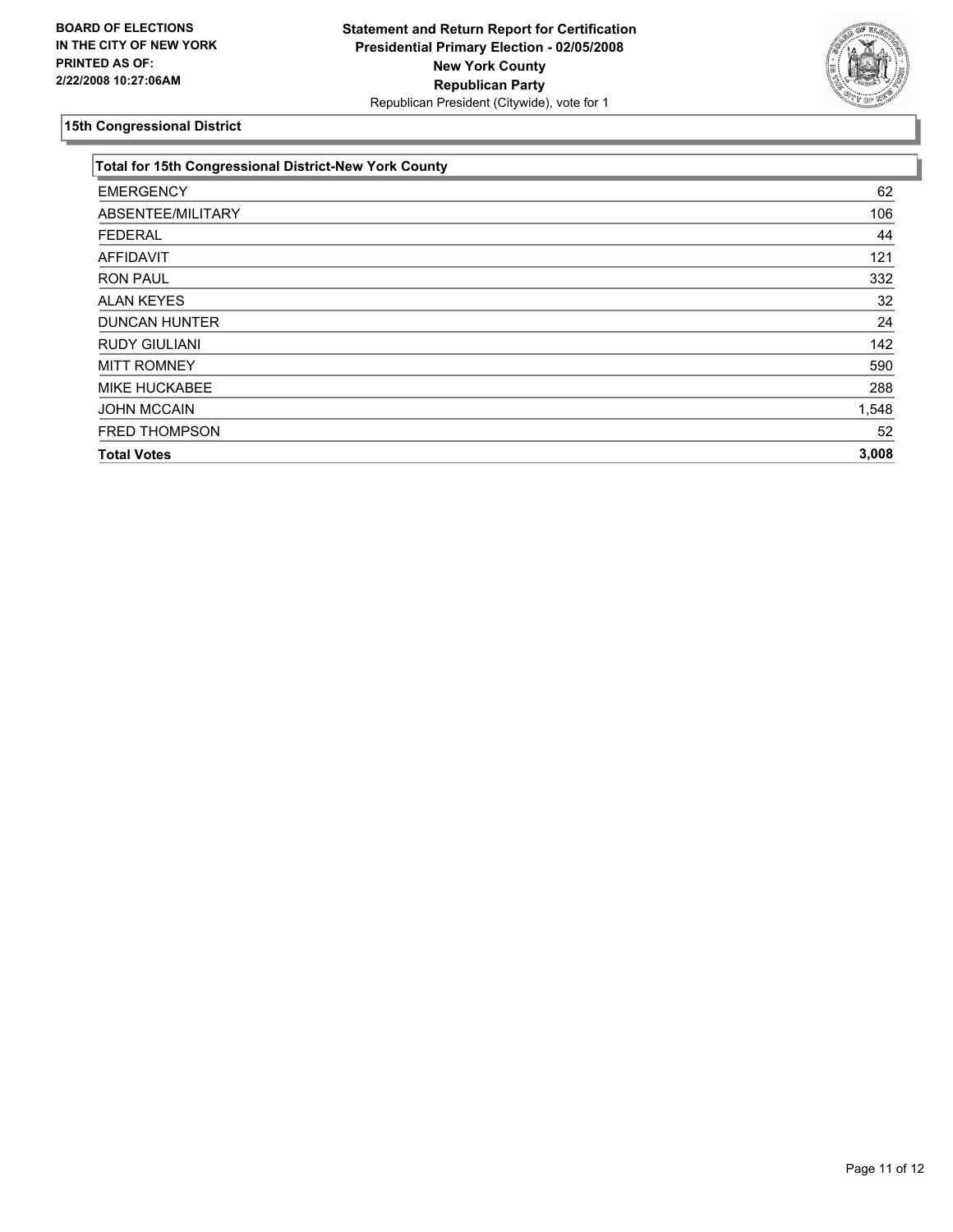

| Total for 15th Congressional District-New York County |       |
|-------------------------------------------------------|-------|
| <b>EMERGENCY</b>                                      | 62    |
| ABSENTEE/MILITARY                                     | 106   |
| <b>FEDERAL</b>                                        | 44    |
| <b>AFFIDAVIT</b>                                      | 121   |
| <b>RON PAUL</b>                                       | 332   |
| <b>ALAN KEYES</b>                                     | 32    |
| <b>DUNCAN HUNTER</b>                                  | 24    |
| <b>RUDY GIULIANI</b>                                  | 142   |
| <b>MITT ROMNEY</b>                                    | 590   |
| <b>MIKE HUCKABEE</b>                                  | 288   |
| <b>JOHN MCCAIN</b>                                    | 1,548 |
| FRED THOMPSON                                         | 52    |
| <b>Total Votes</b>                                    | 3,008 |
|                                                       |       |